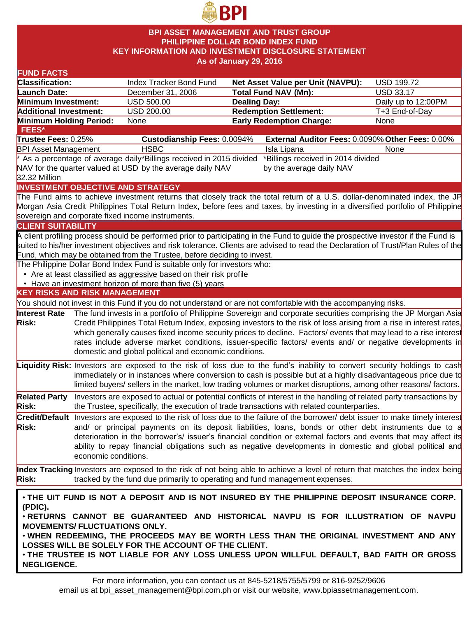

### **BPI ASSET MANAGEMENT AND TRUST GROUP PHILIPPINE DOLLAR BOND INDEX FUND KEY INFORMATION AND INVESTMENT DISCLOSURE STATEMENT As of January 29, 2016**

| <b>FUND FACTS</b>                                                                        |                                                      |                                                                           |                                                                                                                 |                                                                                                                                    |  |  |
|------------------------------------------------------------------------------------------|------------------------------------------------------|---------------------------------------------------------------------------|-----------------------------------------------------------------------------------------------------------------|------------------------------------------------------------------------------------------------------------------------------------|--|--|
| <b>Classification:</b>                                                                   |                                                      | Index Tracker Bond Fund                                                   | Net Asset Value per Unit (NAVPU):                                                                               | <b>USD 199.72</b>                                                                                                                  |  |  |
| Launch Date:                                                                             |                                                      | December 31, 2006                                                         | <b>Total Fund NAV (Mn):</b>                                                                                     | <b>USD 33.17</b>                                                                                                                   |  |  |
| Minimum Investment:                                                                      |                                                      | <b>USD 500.00</b>                                                         | <b>Dealing Day:</b>                                                                                             | Daily up to 12:00PM                                                                                                                |  |  |
| <b>Additional Investment:</b>                                                            |                                                      | <b>USD 200.00</b>                                                         | <b>Redemption Settlement:</b>                                                                                   | T+3 End-of-Day                                                                                                                     |  |  |
| Minimum Holding Period:                                                                  |                                                      | None                                                                      | <b>Early Redemption Charge:</b>                                                                                 | None                                                                                                                               |  |  |
| <b>FEES*</b>                                                                             |                                                      |                                                                           |                                                                                                                 |                                                                                                                                    |  |  |
| Trustee Fees: 0.25%                                                                      |                                                      | <b>Custodianship Fees: 0.0094%</b>                                        |                                                                                                                 | External Auditor Fees: 0.0090% Other Fees: 0.00%                                                                                   |  |  |
| <b>BPI Asset Management</b>                                                              |                                                      | <b>HSBC</b>                                                               | Isla Lipana                                                                                                     | None                                                                                                                               |  |  |
|                                                                                          |                                                      | * As a percentage of average daily*Billings received in 2015 divided      | *Billings received in 2014 divided                                                                              |                                                                                                                                    |  |  |
|                                                                                          |                                                      | NAV for the quarter valued at USD by the average daily NAV                | by the average daily NAV                                                                                        |                                                                                                                                    |  |  |
| 32.32 Million                                                                            |                                                      |                                                                           |                                                                                                                 |                                                                                                                                    |  |  |
|                                                                                          |                                                      | <b>INVESTMENT OBJECTIVE AND STRATEGY</b>                                  |                                                                                                                 |                                                                                                                                    |  |  |
|                                                                                          |                                                      |                                                                           |                                                                                                                 | The Fund aims to achieve investment returns that closely track the total return of a U.S. dollar-denominated index, the JP         |  |  |
|                                                                                          |                                                      |                                                                           |                                                                                                                 | Morgan Asia Credit Philippines Total Return Index, before fees and taxes, by investing in a diversified portfolio of Philippine    |  |  |
|                                                                                          |                                                      | sovereign and corporate fixed income instruments.                         |                                                                                                                 |                                                                                                                                    |  |  |
| <b>CLIENT SUITABILITY</b>                                                                |                                                      |                                                                           |                                                                                                                 |                                                                                                                                    |  |  |
|                                                                                          |                                                      |                                                                           |                                                                                                                 | A client profiling process should be performed prior to participating in the Fund to guide the prospective investor if the Fund is |  |  |
|                                                                                          |                                                      |                                                                           |                                                                                                                 | suited to his/her investment objectives and risk tolerance. Clients are advised to read the Declaration of Trust/Plan Rules of the |  |  |
|                                                                                          |                                                      | Fund, which may be obtained from the Trustee, before deciding to invest.  |                                                                                                                 |                                                                                                                                    |  |  |
|                                                                                          |                                                      | The Philippine Dollar Bond Index Fund is suitable only for investors who: |                                                                                                                 |                                                                                                                                    |  |  |
|                                                                                          |                                                      | • Are at least classified as aggressive based on their risk profile       |                                                                                                                 |                                                                                                                                    |  |  |
|                                                                                          |                                                      | • Have an investment horizon of more than five (5) years                  |                                                                                                                 |                                                                                                                                    |  |  |
| <b>KEY RISKS AND RISK MANAGEMENT</b>                                                     |                                                      |                                                                           |                                                                                                                 |                                                                                                                                    |  |  |
|                                                                                          |                                                      |                                                                           | You should not invest in this Fund if you do not understand or are not comfortable with the accompanying risks. |                                                                                                                                    |  |  |
| <b>Interest Rate</b>                                                                     |                                                      |                                                                           |                                                                                                                 | The fund invests in a portfolio of Philippine Sovereign and corporate securities comprising the JP Morgan Asia                     |  |  |
| <b>Risk:</b>                                                                             |                                                      |                                                                           |                                                                                                                 | Credit Philippines Total Return Index, exposing investors to the risk of loss arising from a rise in interest rates,               |  |  |
|                                                                                          |                                                      |                                                                           |                                                                                                                 | which generally causes fixed income security prices to decline. Factors/ events that may lead to a rise interest                   |  |  |
|                                                                                          |                                                      |                                                                           |                                                                                                                 | rates include adverse market conditions, issuer-specific factors/ events and/ or negative developments in                          |  |  |
|                                                                                          |                                                      | domestic and global political and economic conditions.                    |                                                                                                                 |                                                                                                                                    |  |  |
|                                                                                          |                                                      |                                                                           |                                                                                                                 | Liquidity Risk: Investors are exposed to the risk of loss due to the fund's inability to convert security holdings to cash         |  |  |
|                                                                                          |                                                      |                                                                           |                                                                                                                 | immediately or in instances where conversion to cash is possible but at a highly disadvantageous price due to                      |  |  |
|                                                                                          |                                                      |                                                                           |                                                                                                                 | limited buyers/ sellers in the market, low trading volumes or market disruptions, among other reasons/factors.                     |  |  |
| <b>Related Party</b>                                                                     |                                                      |                                                                           |                                                                                                                 | Investors are exposed to actual or potential conflicts of interest in the handling of related party transactions by                |  |  |
| <b>Risk:</b>                                                                             |                                                      |                                                                           | the Trustee, specifically, the execution of trade transactions with related counterparties.                     |                                                                                                                                    |  |  |
|                                                                                          |                                                      |                                                                           |                                                                                                                 |                                                                                                                                    |  |  |
|                                                                                          |                                                      |                                                                           |                                                                                                                 | Credit/Default Investors are exposed to the risk of loss due to the failure of the borrower/ debt issuer to make timely interest   |  |  |
| <b>Risk:</b>                                                                             |                                                      |                                                                           |                                                                                                                 | and/ or principal payments on its deposit liabilities, loans, bonds or other debt instruments due to a                             |  |  |
|                                                                                          |                                                      |                                                                           |                                                                                                                 | deterioration in the borrower's/ issuer's financial condition or external factors and events that may affect its                   |  |  |
|                                                                                          |                                                      |                                                                           |                                                                                                                 | ability to repay financial obligations such as negative developments in domestic and global political and                          |  |  |
|                                                                                          | economic conditions.                                 |                                                                           |                                                                                                                 |                                                                                                                                    |  |  |
|                                                                                          |                                                      |                                                                           |                                                                                                                 | Index Tracking Investors are exposed to the risk of not being able to achieve a level of return that matches the index being       |  |  |
| <b>Risk:</b>                                                                             |                                                      |                                                                           | tracked by the fund due primarily to operating and fund management expenses.                                    |                                                                                                                                    |  |  |
|                                                                                          |                                                      |                                                                           |                                                                                                                 |                                                                                                                                    |  |  |
|                                                                                          |                                                      |                                                                           |                                                                                                                 | . THE UIT FUND IS NOT A DEPOSIT AND IS NOT INSURED BY THE PHILIPPINE DEPOSIT INSURANCE CORP.                                       |  |  |
| (PDIC).                                                                                  |                                                      |                                                                           |                                                                                                                 |                                                                                                                                    |  |  |
| . RETURNS CANNOT BE GUARANTEED AND HISTORICAL NAVPU IS FOR ILLUSTRATION OF NAVPU         |                                                      |                                                                           |                                                                                                                 |                                                                                                                                    |  |  |
| <b>MOVEMENTS/ FLUCTUATIONS ONLY.</b>                                                     |                                                      |                                                                           |                                                                                                                 |                                                                                                                                    |  |  |
|                                                                                          |                                                      |                                                                           |                                                                                                                 | . WHEN REDEEMING, THE PROCEEDS MAY BE WORTH LESS THAN THE ORIGINAL INVESTMENT AND ANY                                              |  |  |
|                                                                                          | LOSSES WILL BE SOLELY FOR THE ACCOUNT OF THE CLIENT. |                                                                           |                                                                                                                 |                                                                                                                                    |  |  |
| . THE TRUSTEE IS NOT LIABLE FOR ANY LOSS UNLESS UPON WILLFUL DEFAULT, BAD FAITH OR GROSS |                                                      |                                                                           |                                                                                                                 |                                                                                                                                    |  |  |

**NEGLIGENCE.**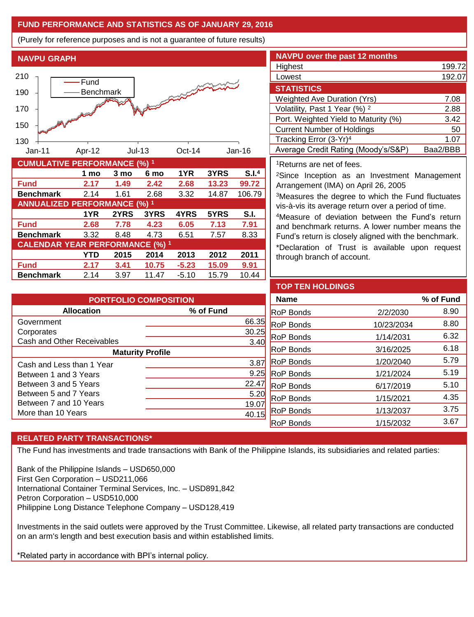## **FUND PERFORMANCE AND STATISTICS AS OF JANUARY 29, 2016**

(Purely for reference purposes and is not a guarantee of future results)

**NAVPU GRAPH**



| <b>CUMULATIVE PERFORMANCE (%) 1</b>    |      |      |       |         |       |                   |  |
|----------------------------------------|------|------|-------|---------|-------|-------------------|--|
|                                        | 1 mo | 3 mo | 6 mo  | 1YR     | 3YRS  | S.I. <sup>4</sup> |  |
| <b>Fund</b>                            | 2.17 | 1.49 | 2.42  | 2.68    | 13.23 | 99.72             |  |
| <b>Benchmark</b>                       | 2.14 | 1.61 | 2.68  | 3.32    | 14.87 | 106.79            |  |
| <b>ANNUALIZED PERFORMANCE (%) 1</b>    |      |      |       |         |       |                   |  |
|                                        | 1YR  | 2YRS | 3YRS  | 4YRS    | 5YRS  | S.I.              |  |
| <b>Fund</b>                            | 2.68 | 7.78 | 4.23  | 6.05    | 7.13  | 7.91              |  |
| <b>Benchmark</b>                       | 3.32 | 8.48 | 4.73  | 6.51    | 7.57  | 8.33              |  |
| <b>CALENDAR YEAR PERFORMANCE (%) 1</b> |      |      |       |         |       |                   |  |
|                                        | YTD  | 2015 | 2014  | 2013    | 2012  | 2011              |  |
| <b>Fund</b>                            | 2.17 | 3.41 | 10.75 | $-5.23$ | 15.09 | 9.91              |  |
| <b>Benchmark</b>                       | 2.14 | 3.97 | 11.47 | $-5.10$ | 15.79 | 10.44             |  |

| <b>NAVPU over the past 12 months</b>     |          |
|------------------------------------------|----------|
| Highest                                  | 199.72   |
| Lowest                                   | 192.07   |
| <b>STATISTICS</b>                        |          |
| <b>Weighted Ave Duration (Yrs)</b>       | 7.08     |
| Volatility, Past 1 Year (%) <sup>2</sup> | 2.88     |
| Port. Weighted Yield to Maturity (%)     | 3.42     |
| <b>Current Number of Holdings</b>        | 50       |
| Tracking Error (3-Yr) <sup>4</sup>       | 1.07     |
| Average Credit Rating (Moody's/S&P)      | Baa2/BBB |

<sup>1</sup>Returns are net of fees.

<sup>2</sup>Since Inception as an Investment Management Arrangement (IMA) on April 26, 2005

<sup>3</sup>Measures the degree to which the Fund fluctuates vis-à-vis its average return over a period of time.

<sup>4</sup>Measure of deviation between the Fund's return and benchmark returns. A lower number means the Fund's return is closely aligned with the benchmark.

\*Declaration of Trust is available upon request through branch of account.

| <b>PORTFOLIO COMPOSITION</b> |               |  |  |  |
|------------------------------|---------------|--|--|--|
| <b>Allocation</b>            | % of Fund     |  |  |  |
| Government                   | 66.35         |  |  |  |
| Corporates                   | 30.25         |  |  |  |
| Cash and Other Receivables   | 3.40          |  |  |  |
| <b>Maturity Profile</b>      |               |  |  |  |
| Cash and Less than 1 Year    | $3.8^{\circ}$ |  |  |  |
| Between 1 and 3 Years        | 9.25          |  |  |  |
| Between 3 and 5 Years        | 22.4          |  |  |  |
| Between 5 and 7 Years        | 5.20          |  |  |  |
| Between 7 and 10 Years       | 19.0          |  |  |  |
| More than 10 Years           |               |  |  |  |

| <b>TOP TEN HOLDINGS</b> |            |           |
|-------------------------|------------|-----------|
| <b>Name</b>             |            | % of Fund |
| <b>RoP Bonds</b>        | 2/2/2030   | 8.90      |
| RoP Bonds               | 10/23/2034 | 8.80      |
| RoP Bonds               | 1/14/2031  | 6.32      |
| <b>RoP Bonds</b>        | 3/16/2025  | 6.18      |
| <b>RoP Bonds</b>        | 1/20/2040  | 5.79      |
| <b>RoP Bonds</b>        | 1/21/2024  | 5.19      |
| <b>RoP Bonds</b>        | 6/17/2019  | 5.10      |
| <b>RoP Bonds</b>        | 1/15/2021  | 4.35      |
| <b>RoP Bonds</b>        | 1/13/2037  | 3.75      |
| RoP Bonds               | 1/15/2032  | 3.67      |

# **RELATED PARTY TRANSACTIONS\***

The Fund has investments and trade transactions with Bank of the Philippine Islands, its subsidiaries and related parties:

Bank of the Philippine Islands – USD650,000 First Gen Corporation – USD211,066 International Container Terminal Services, Inc. – USD891,842 Petron Corporation – USD510,000 Philippine Long Distance Telephone Company – USD128,419

Investments in the said outlets were approved by the Trust Committee. Likewise, all related party transactions are conducted on an arm's length and best execution basis and within established limits.

\*Related party in accordance with BPI's internal policy.